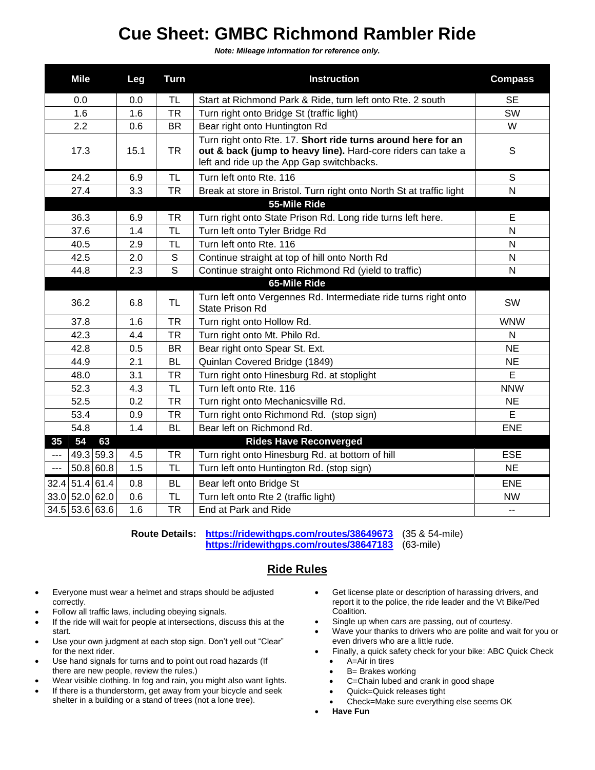## **Cue Sheet: GMBC Richmond Rambler Ride**

*Note: Mileage information for reference only.*

| <b>Mile</b>      | Leg  | <b>Turn</b>  | <b>Instruction</b>                                                                                                                                                        | <b>Compass</b> |
|------------------|------|--------------|---------------------------------------------------------------------------------------------------------------------------------------------------------------------------|----------------|
| 0.0              | 0.0  | TL           | Start at Richmond Park & Ride, turn left onto Rte. 2 south                                                                                                                | <b>SE</b>      |
| 1.6              | 1.6  | <b>TR</b>    | Turn right onto Bridge St (traffic light)                                                                                                                                 | SW             |
| 2.2              | 0.6  | <b>BR</b>    | Bear right onto Huntington Rd                                                                                                                                             | W              |
| 17.3             | 15.1 | <b>TR</b>    | Turn right onto Rte. 17. Short ride turns around here for an<br>out & back (jump to heavy line). Hard-core riders can take a<br>left and ride up the App Gap switchbacks. | S              |
| 24.2             | 6.9  | TL           | Turn left onto Rte. 116                                                                                                                                                   | $\mathsf S$    |
| 27.4             | 3.3  | <b>TR</b>    | Break at store in Bristol. Turn right onto North St at traffic light                                                                                                      | $\mathsf{N}$   |
|                  |      |              | 55-Mile Ride                                                                                                                                                              |                |
| 36.3             | 6.9  | <b>TR</b>    | Turn right onto State Prison Rd. Long ride turns left here.                                                                                                               | E              |
| 37.6             | 1.4  | <b>TL</b>    | Turn left onto Tyler Bridge Rd                                                                                                                                            | $\overline{N}$ |
| 40.5             | 2.9  | TL           | Turn left onto Rte. 116                                                                                                                                                   | $\mathsf{N}$   |
| 42.5             | 2.0  | $\mathsf{S}$ | Continue straight at top of hill onto North Rd                                                                                                                            | $\mathsf{N}$   |
| 44.8             | 2.3  | $\mathsf{S}$ | Continue straight onto Richmond Rd (yield to traffic)                                                                                                                     | N              |
|                  |      |              | 65-Mile Ride                                                                                                                                                              |                |
| 36.2             | 6.8  | <b>TL</b>    | Turn left onto Vergennes Rd. Intermediate ride turns right onto<br>State Prison Rd                                                                                        | SW             |
| 37.8             | 1.6  | <b>TR</b>    | Turn right onto Hollow Rd.                                                                                                                                                | <b>WNW</b>     |
| 42.3             | 4.4  | <b>TR</b>    | Turn right onto Mt. Philo Rd.                                                                                                                                             | N              |
| 42.8             | 0.5  | <b>BR</b>    | Bear right onto Spear St. Ext.                                                                                                                                            | <b>NE</b>      |
| 44.9             | 2.1  | <b>BL</b>    | Quinlan Covered Bridge (1849)                                                                                                                                             | <b>NE</b>      |
| 48.0             | 3.1  | <b>TR</b>    | Turn right onto Hinesburg Rd. at stoplight                                                                                                                                | E              |
| 52.3             | 4.3  | <b>TL</b>    | Turn left onto Rte. 116                                                                                                                                                   | <b>NNW</b>     |
| 52.5             | 0.2  | <b>TR</b>    | Turn right onto Mechanicsville Rd.                                                                                                                                        | <b>NE</b>      |
| 53.4             | 0.9  | <b>TR</b>    | Turn right onto Richmond Rd. (stop sign)                                                                                                                                  | E              |
| 54.8             | 1.4  | <b>BL</b>    | Bear left on Richmond Rd.                                                                                                                                                 | <b>ENE</b>     |
| 54<br>35<br>63   |      |              | <b>Rides Have Reconverged</b>                                                                                                                                             |                |
| 49.3 59.3<br>--- | 4.5  | <b>TR</b>    | Turn right onto Hinesburg Rd. at bottom of hill                                                                                                                           | <b>ESE</b>     |
| 50.8 60.8<br>--- | 1.5  | <b>TL</b>    | Turn left onto Huntington Rd. (stop sign)                                                                                                                                 | <b>NE</b>      |
| 32.4 51.4 61.4   | 0.8  | <b>BL</b>    | Bear left onto Bridge St                                                                                                                                                  | <b>ENE</b>     |
| 33.0 52.0 62.0   | 0.6  | <b>TL</b>    | Turn left onto Rte 2 (traffic light)                                                                                                                                      | <b>NW</b>      |
| $34.5$ 53.6 63.6 | 1.6  | <b>TR</b>    | End at Park and Ride                                                                                                                                                      | --             |

**Route Details: <https://ridewithgps.com/routes/38649673>** (35 & 54-mile) **<https://ridewithgps.com/routes/38647183>** (63-mile)

## **Ride Rules**

- Everyone must wear a helmet and straps should be adjusted correctly.
- Follow all traffic laws, including obeying signals.
- If the ride will wait for people at intersections, discuss this at the start.
- Use your own judgment at each stop sign. Don't yell out "Clear" for the next rider.
- Use hand signals for turns and to point out road hazards (If there are new people, review the rules.)
- Wear visible clothing. In fog and rain, you might also want lights.
- If there is a thunderstorm, get away from your bicycle and seek shelter in a building or a stand of trees (not a lone tree).
- Get license plate or description of harassing drivers, and report it to the police, the ride leader and the Vt Bike/Ped Coalition.
- Single up when cars are passing, out of courtesy.
- Wave your thanks to drivers who are polite and wait for you or even drivers who are a little rude.
- Finally, a quick safety check for your bike: ABC Quick Check
	- A=Air in tires
	- **B**= Brakes working
	- C=Chain lubed and crank in good shape
	- Quick=Quick releases tight
	- Check=Make sure everything else seems OK
- **Have Fun**